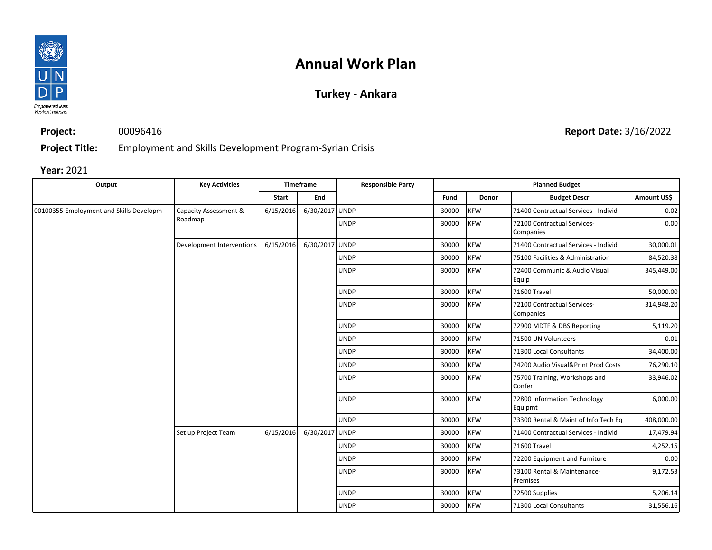

## **Annual Work Plan**

## **Turkey - Ankara**

**Project:** 00096416

**Report Date:** 3/16/2022

**Project Title:** Employment and Skills Development Program-Syrian Crisis

**Year:** 2021

| Output                                  | <b>Key Activities</b>            | <b>Timeframe</b> |                | <b>Responsible Party</b> | <b>Planned Budget</b> |            |                                          |             |
|-----------------------------------------|----------------------------------|------------------|----------------|--------------------------|-----------------------|------------|------------------------------------------|-------------|
|                                         |                                  | Start            | End            |                          | Fund                  | Donor      | <b>Budget Descr</b>                      | Amount US\$ |
| 00100355 Employment and Skills Developm | Capacity Assessment &<br>Roadmap | 6/15/2016        | 6/30/2017 UNDP |                          | 30000                 | <b>KFW</b> | 71400 Contractual Services - Individ     | 0.02        |
|                                         |                                  |                  |                | <b>UNDP</b>              | 30000                 | <b>KFW</b> | 72100 Contractual Services-<br>Companies | 0.00        |
|                                         | Development Interventions        | 6/15/2016        | 6/30/2017 UNDP |                          | 30000                 | <b>KFW</b> | 71400 Contractual Services - Individ     | 30,000.01   |
|                                         |                                  |                  |                | <b>UNDP</b>              | 30000                 | <b>KFW</b> | 75100 Facilities & Administration        | 84,520.38   |
|                                         |                                  |                  |                | <b>UNDP</b>              | 30000                 | <b>KFW</b> | 72400 Communic & Audio Visual<br>Equip   | 345,449.00  |
|                                         |                                  |                  |                | <b>UNDP</b>              | 30000                 | <b>KFW</b> | 71600 Travel                             | 50,000.00   |
|                                         |                                  |                  |                | <b>UNDP</b>              | 30000                 | <b>KFW</b> | 72100 Contractual Services-<br>Companies | 314,948.20  |
|                                         |                                  |                  |                | <b>UNDP</b>              | 30000                 | <b>KFW</b> | 72900 MDTF & DBS Reporting               | 5,119.20    |
|                                         |                                  |                  |                | <b>UNDP</b>              | 30000                 | <b>KFW</b> | 71500 UN Volunteers                      | 0.01        |
|                                         |                                  |                  |                | <b>UNDP</b>              | 30000                 | <b>KFW</b> | 71300 Local Consultants                  | 34,400.00   |
|                                         |                                  |                  |                | <b>UNDP</b>              | 30000                 | <b>KFW</b> | 74200 Audio Visual&Print Prod Costs      | 76,290.10   |
|                                         |                                  |                  |                | <b>UNDP</b>              | 30000                 | <b>KFW</b> | 75700 Training, Workshops and<br>Confer  | 33,946.02   |
|                                         |                                  |                  |                | <b>UNDP</b>              | 30000                 | <b>KFW</b> | 72800 Information Technology<br>Equipmt  | 6,000.00    |
|                                         |                                  |                  |                | <b>UNDP</b>              | 30000                 | <b>KFW</b> | 73300 Rental & Maint of Info Tech Eq     | 408,000.00  |
|                                         | Set up Project Team              | 6/15/2016        | 6/30/2017 UNDP |                          | 30000                 | <b>KFW</b> | 71400 Contractual Services - Individ     | 17,479.94   |
|                                         |                                  |                  |                | <b>UNDP</b>              | 30000                 | <b>KFW</b> | 71600 Travel                             | 4,252.15    |
|                                         |                                  |                  |                | <b>UNDP</b>              | 30000                 | <b>KFW</b> | 72200 Equipment and Furniture            | 0.00        |
|                                         |                                  |                  |                | <b>UNDP</b>              | 30000                 | <b>KFW</b> | 73100 Rental & Maintenance-<br>Premises  | 9,172.53    |
|                                         |                                  |                  |                | <b>UNDP</b>              | 30000                 | <b>KFW</b> | 72500 Supplies                           | 5,206.14    |
|                                         |                                  |                  |                | <b>UNDP</b>              | 30000                 | <b>KFW</b> | 71300 Local Consultants                  | 31,556.16   |